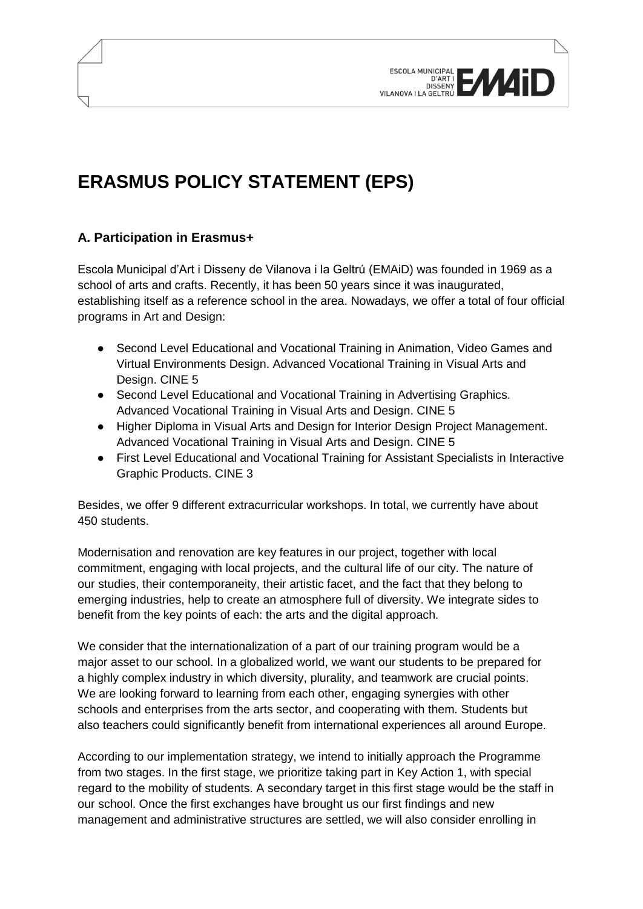# **ERASMUS POLICY STATEMENT (EPS)**

## **A. Participation in Erasmus+**

Escola Municipal d'Art i Disseny de Vilanova i la Geltrú (EMAiD) was founded in 1969 as a school of arts and crafts. Recently, it has been 50 years since it was inaugurated, establishing itself as a reference school in the area. Nowadays, we offer a total of four official programs in Art and Design:

ESCOLA MUNICIPAL<br>DISARTI **EMMA DISARTI** 

- Second Level Educational and Vocational Training in Animation, Video Games and Virtual Environments Design. Advanced Vocational Training in Visual Arts and Design. CINE 5
- Second Level Educational and Vocational Training in Advertising Graphics. Advanced Vocational Training in Visual Arts and Design. CINE 5
- Higher Diploma in Visual Arts and Design for Interior Design Project Management. Advanced Vocational Training in Visual Arts and Design. CINE 5
- First Level Educational and Vocational Training for Assistant Specialists in Interactive Graphic Products. CINE 3

Besides, we offer 9 different extracurricular workshops. In total, we currently have about 450 students.

Modernisation and renovation are key features in our project, together with local commitment, engaging with local projects, and the cultural life of our city. The nature of our studies, their contemporaneity, their artistic facet, and the fact that they belong to emerging industries, help to create an atmosphere full of diversity. We integrate sides to benefit from the key points of each: the arts and the digital approach.

We consider that the internationalization of a part of our training program would be a major asset to our school. In a globalized world, we want our students to be prepared for a highly complex industry in which diversity, plurality, and teamwork are crucial points. We are looking forward to learning from each other, engaging synergies with other schools and enterprises from the arts sector, and cooperating with them. Students but also teachers could significantly benefit from international experiences all around Europe.

According to our implementation strategy, we intend to initially approach the Programme from two stages. In the first stage, we prioritize taking part in Key Action 1, with special regard to the mobility of students. A secondary target in this first stage would be the staff in our school. Once the first exchanges have brought us our first findings and new management and administrative structures are settled, we will also consider enrolling in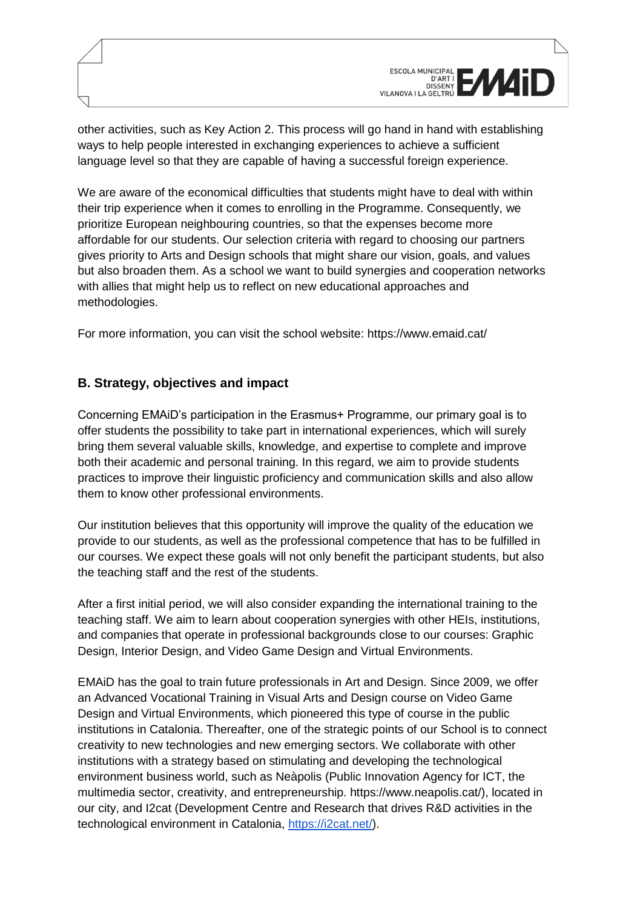other activities, such as Key Action 2. This process will go hand in hand with establishing ways to help people interested in exchanging experiences to achieve a sufficient language level so that they are capable of having a successful foreign experience.

ESCOLA MUNICIPAL<br>DISSENY **EMMIT** 

We are aware of the economical difficulties that students might have to deal with within their trip experience when it comes to enrolling in the Programme. Consequently, we prioritize European neighbouring countries, so that the expenses become more affordable for our students. Our selection criteria with regard to choosing our partners gives priority to Arts and Design schools that might share our vision, goals, and values but also broaden them. As a school we want to build synergies and cooperation networks with allies that might help us to reflect on new educational approaches and methodologies.

For more information, you can visit the school website: https://www.emaid.cat/

### **B. Strategy, objectives and impact**

Concerning EMAiD's participation in the Erasmus+ Programme, our primary goal is to offer students the possibility to take part in international experiences, which will surely bring them several valuable skills, knowledge, and expertise to complete and improve both their academic and personal training. In this regard, we aim to provide students practices to improve their linguistic proficiency and communication skills and also allow them to know other professional environments.

Our institution believes that this opportunity will improve the quality of the education we provide to our students, as well as the professional competence that has to be fulfilled in our courses. We expect these goals will not only benefit the participant students, but also the teaching staff and the rest of the students.

After a first initial period, we will also consider expanding the international training to the teaching staff. We aim to learn about cooperation synergies with other HEIs, institutions, and companies that operate in professional backgrounds close to our courses: Graphic Design, Interior Design, and Video Game Design and Virtual Environments.

EMAiD has the goal to train future professionals in Art and Design. Since 2009, we offer an Advanced Vocational Training in Visual Arts and Design course on Video Game Design and Virtual Environments, which pioneered this type of course in the public institutions in Catalonia. Thereafter, one of the strategic points of our School is to connect creativity to new technologies and new emerging sectors. We collaborate with other institutions with a strategy based on stimulating and developing the technological environment business world, such as Neàpolis (Public Innovation Agency for ICT, the multimedia sector, creativity, and entrepreneurship. https://www.neapolis.cat/), located in our city, and I2cat (Development Centre and Research that drives R&D activities in the technological environment in Catalonia, [https://i2cat.net/\)](https://i2cat.net/).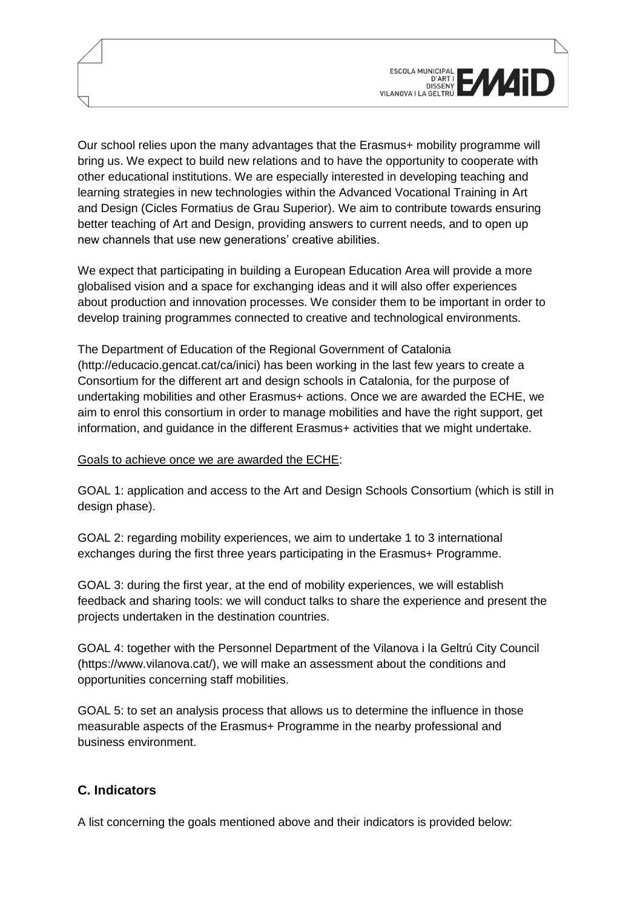Our school relies upon the many advantages that the Erasmus+ mobility programme will bring us. We expect to build new relations and to have the opportunity to cooperate with other educational institutions. We are especially interested in developing teaching and learning strategies in new technologies within the Advanced Vocational Training in Art and Design (Cicles Formatius de Grau Superior). We aim to contribute towards ensuring better teaching of Art and Design, providing answers to current needs, and to open up new channels that use new generations' creative abilities.

We expect that participating in building a European Education Area will provide a more globalised vision and a space for exchanging ideas and it will also offer experiences about production and innovation processes. We consider them to be important in order to develop training programmes connected to creative and technological environments.

The Department of Education of the Regional Government of Catalonia (http://educacio.gencat.cat/ca/inici) has been working in the last few years to create a Consortium for the different art and design schools in Catalonia, for the purpose of undertaking mobilities and other Erasmus+ actions. Once we are awarded the ECHE, we aim to enrol this consortium in order to manage mobilities and have the right support, get information, and guidance in the different Erasmus+ activities that we might undertake.

#### Goals to achieve once we are awarded the ECHE:

GOAL 1: application and access to the Art and Design Schools Consortium (which is still in design phase).

GOAL 2: regarding mobility experiences, we aim to undertake 1 to 3 international exchanges during the first three years participating in the Erasmus+ Programme.

GOAL 3: during the first year, at the end of mobility experiences, we will establish feedback and sharing tools: we will conduct talks to share the experience and present the projects undertaken in the destination countries.

GOAL 4: together with the Personnel Department of the Vilanova i la Geltrú City Council (https://www.vilanova.cat/), we will make an assessment about the conditions and opportunities concerning staff mobilities.

GOAL 5: to set an analysis process that allows us to determine the influence in those measurable aspects of the Erasmus+ Programme in the nearby professional and business environment.

## **C. Indicators**

A list concerning the goals mentioned above and their indicators is provided below: